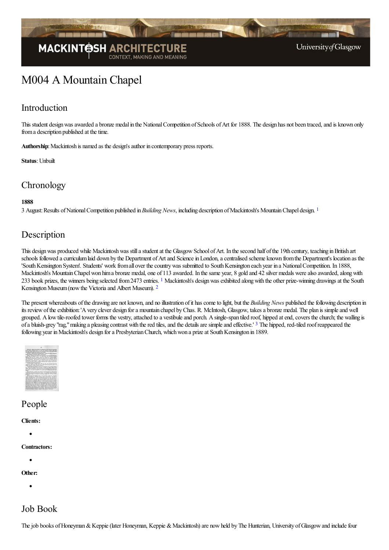

# **MACKINT@SHA**

<span id="page-0-0"></span>University of Glasgow

## M004 A Mountain Chapel

## Introduction

This student design was awarded a bronze medal in the National Competition of Schools of Art for 1888. The design has not been traced, and is known only from a description published at the time.

Authorship: Mackintosh is named as the design's author in contemporary press reports.

**Status**: Unbuilt

## **Chronology**

#### **1888**

3 August:Results ofNationalCompetition published in*Building News*, including description ofMackintosh's MountainChapel design. [1](#page-1-0)

## Description

This design was produced while Mackintosh was still a student at the Glasgow School of Art. In the second half of the 19th century, teaching in British art schools followed a curriculum laid down by the Department of Art and Science in London, a centralised scheme known from the Department's location as the 'South Kensington System'. Students' work from all over the country was submitted to South Kensington each year in a National Competition. In 1888, Mackintosh's Mountain Chapel won him a bronze medal, one of 113 awarded. In the same year, 8 gold and 42 silver medals were also awarded, along with 233 book prizes, the winners being selected from 2473 entries. <sup>[1](#page-2-0)</sup> Mackintosh's design was exhibited along with the other prize-winning drawings at the South Kensington Museum (now the Victoria and Albert Museum). <sup>[2](#page-2-1)</sup>

<span id="page-0-2"></span><span id="page-0-1"></span>The present whereabouts of the drawing are not known, and no illustration of it has come to light, but the *Building News* published the following description in its review of the exhibition: 'A very clever design for a mountain chapel by Chas. R. McIntosh, Glasgow, takes a bronze medal. The plan is simple and well grouped. A low tile-roofed tower forms the vestry, attached to a vestibule and porch. A single-span tiled roof, hipped at end, covers the church; the walling is of a bluish-grey "rag," making a pleasing contrast with the red tiles, and the details are simple and effective.' <sup>[3](#page-2-2)</sup> The hipped, red-tiled roof reappeared the following year in Mackintosh's design for a Presbyterian Church, which won a prize at South Kensington in 1889.

<span id="page-0-3"></span>

## People

#### **Clients:**

**Contractors:**

**Other:**

## Job Book

The job books of Honeyman & Keppie (later Honeyman, Keppie & Mackintosh) are now held by The Hunterian, University of Glasgow and include four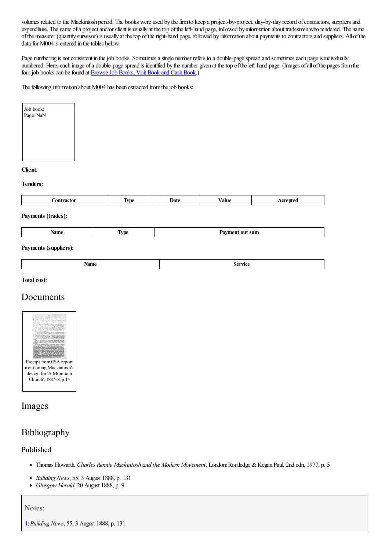volumes related to the Mackintosh period. The books were used by the firm to keep a project-by-project, day-by-day record of contractors, suppliers and expenditure. The name of a project and/or client is usually at the top of the left-hand page, followed by information about tradesmen who tendered. The name ofthe measurer (quantity surveyor) is usually at thetop oftheright-hand page, followed by information about payments to contractorsand suppliers. All ofthe data for M004 is entered in the tables below.

Page numbering is not consistent in the job books. Sometimes a single number refers to a double-page spread and sometimes each page is individually numbered. Here, each image of a double-page spread is identified by the number given at the top of the left-hand page. (Images of all of the pages from the four job books can be found at **Browse Job Books**, Visit Book and Cash Book.)

The following information about M004 has been extracted from the job books:

| Job book:<br>Page: NaN |  |
|------------------------|--|
|                        |  |
|                        |  |
|                        |  |

#### **Client**:

#### **Tenders**:

| `nn<br>_ _ _ _ _ _ _ | <b>TIMO</b><br>VIJ<br>. . | Date | ⁄ alue | $-$ |
|----------------------|---------------------------|------|--------|-----|
|                      |                           |      |        |     |

#### **Payments (trades):**

| Name | -<br>VD. | out sum<br>Pavment<br>$\sim$ $\sim$ |
|------|----------|-------------------------------------|
|------|----------|-------------------------------------|

#### **Payments (suppliers):**

| . المحصل<br>Arthon<br>Name<br>.<br>. |
|--------------------------------------|
|--------------------------------------|

#### **Total cost:**

## Documents



### Images

## Bibliography

#### Published

- Thomas Howarth, *Charles Rennie Mackintosh and the Modern Movement*, London:Routledge &Kegan Paul, 2nd edn, 1977, p. 5
- *Building News*, 55, 3 August 1888, p. 131  $\bullet$
- $\bullet$ *Glasgow Herald*, 20 August 1888, p. 9

#### Notes:

<span id="page-1-0"></span>**[1](#page-0-0)**:*Building News*, 55, 3 August 1888, p. 131.